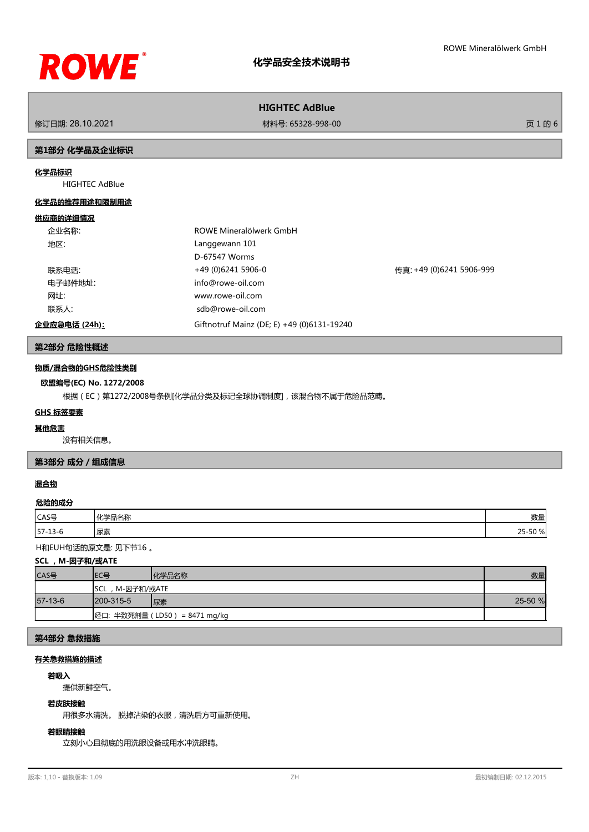

# **HIGHTEC AdBlue**

修订日期: 28.10.2021 材料号: 65328-998-00 页 1 的 6

### **第1部分 化学品及企业标识**

# **化学品标识**

HIGHTEC AdBlue

#### **化学品的推荐用途和限制用途**

#### **供应商的详细情况**

| 企业名称:         | ROWE Mineralölwerk GmbH                    |                          |
|---------------|--------------------------------------------|--------------------------|
| 地区:           | Langgewann 101                             |                          |
|               | D-67547 Worms                              |                          |
| 联系电话:         | +49 (0)6241 5906-0                         | 传真: +49 (0)6241 5906-999 |
| 电子邮件地址:       | info@rowe-oil.com                          |                          |
| 网址:           | www.rowe-oil.com                           |                          |
| 联系人:          | sdb@rowe-oil.com                           |                          |
| 企业应急电话 (24h): | Giftnotruf Mainz (DE; E) +49 (0)6131-19240 |                          |

#### **第2部分 危险性概述**

#### **物质/混合物的GHS危险性类别**

#### **欧盟编号(EC) No. 1272/2008**

根据(EC)第1272/2008号条例[化学品分类及标记全球协调制度],该混合物不属于危险品范畴。

#### **GHS 标签要素**

#### **其他危害**

没有相关信息。

# **第3部分 成分/组成信息**

# **混合物**

#### **危险的成分**

| CAS号                    | $\cdots$<br>$\rightarrow$ Th<br>如中国 | 数量         |
|-------------------------|-------------------------------------|------------|
| $57 -$<br>$\sim$ $\sim$ | 水系                                  | 701<br>ت ک |

H和EUH句话的原文是: 见下节16 。

# **SCL ,M-因子和/或ATE**

| CAS号      | IEC목                          | 化学品名称 | 数量      |
|-----------|-------------------------------|-------|---------|
|           | , M-因子和/或ATE<br><b>I</b> SCL  |       |         |
| $57-13-6$ | $1200 - 315 - 5$              | 尿素    | 25-50 % |
|           | 经口: 半致死剂量 (LD50) = 8471 mg/kg |       |         |

# **第4部分 急救措施**

# **有关急救措施的描述**

#### **若吸入**

提供新鲜空气。

#### **若皮肤接触**

用很多水清洗。 脱掉沾染的衣服,清洗后方可重新使用。

# **若眼睛接触**

立刻小心且彻底的用洗眼设备或用水冲洗眼睛。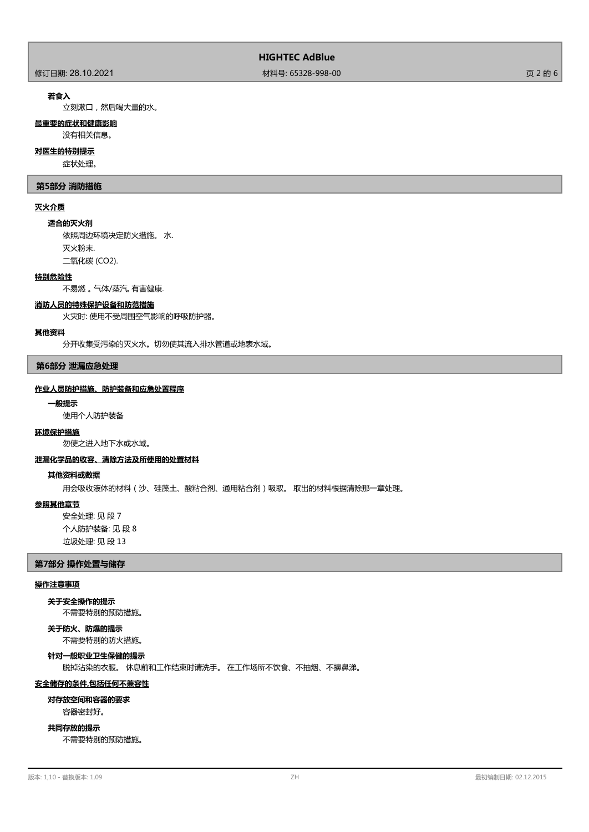# **HIGHTEC AdBlue**

修订日期: 28.10.2021 材料号: 65328-998-00 页 2 的 6

## **若食入**

立刻漱口,然后喝大量的水。

# **最重要的症状和健康影响**

没有相关信息。

# **对医生的特别提示**

症状处理。

#### **第5部分 消防措施**

# **灭火介质**

#### **适合的灭火剂**

依照周边环境决定防火措施。 水. 灭火粉末. 二氧化碳 (CO2).

# **特别危险性**

不易燃 。 气体/蒸汽, 有害健康.

#### **消防人员的特殊保护设备和防范措施**

火灾时: 使用不受周围空气影响的呼吸防护器。

#### **其他资料**

分开收集受污染的灭火水。切勿使其流入排水管道或地表水域。

#### **第6部分 泄漏应急处理**

## **作业人员防护措施、防护装备和应急处置程序**

#### **一般提示**

使用个人防护装备

#### **环境保护措施**

勿使之进入地下水或水域。

# **泄漏化学品的收容、清除方法及所使用的处置材料**

# **其他资料或数据**

用会吸收液体的材料(沙、硅藻土、酸粘合剂、通用粘合剂)吸取。 取出的材料根据清除那一章处理。

#### **参照其他章节**

安全处理: 见 段 7 个人防护装备: 见 段 8 垃圾处理: 见 段 13

#### **第7部分 操作处置与储存**

#### **操作注意事项**

# **关于安全操作的提示**

不需要特别的预防措施。

# **关于防火、防爆的提示**

不需要特别的防火措施。

# **针对一般职业卫生保健的提示**

脱掉沾染的衣服。 休息前和工作结束时请洗手。 在工作场所不饮食、不抽烟、不擤鼻涕。

#### **安全储存的条件,包括任何不兼容性**

# **对存放空间和容器的要求**

容器密封好。

## **共同存放的提示**

不需要特别的预防措施。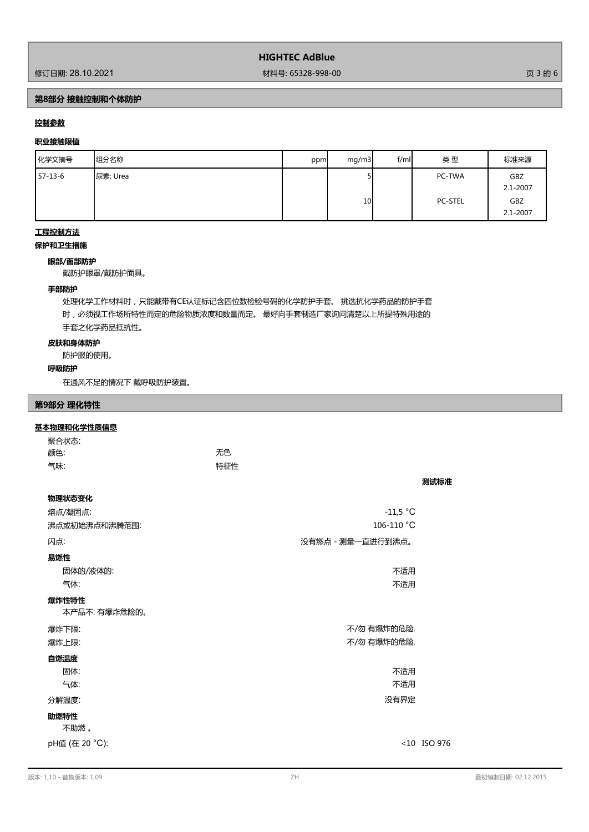修订日期: 28.10.2021 材料号: 65328-998-00 页 3 的 6

# **第8部分 接触控制和个体防护**

# **控制参数**

# **职业接触限值**

| 化学文摘号     | 组分名称     | ppm | mq/m3           | f/ml | 类型                       | 标准来源                               |
|-----------|----------|-----|-----------------|------|--------------------------|------------------------------------|
| $57-13-6$ | 尿素; Urea |     | 10 <sup>1</sup> |      | PC-TWA<br><b>PC-STEL</b> | GBZ<br>2.1-2007<br>GBZ<br>2.1-2007 |

# **工程控制方法**

# **保护和卫生措施**

# **眼部/面部防护**

戴防护眼罩/戴防护面具。

# **手部防护**

处理化学工作材料时,只能戴带有CE认证标记含四位数检验号码的化学防护手套。 挑选抗化学药品的防护手套 时,必须视工作场所特性而定的危险物质浓度和数量而定。 最好向手套制造厂家询问清楚以上所提特殊用途的 手套之化学药品抵抗性。

# **皮肤和身体防护**

防护服的使用。

## **呼吸防护**

在通风不足的情况下 戴呼吸防护装置。

#### **第9部分 理化特性**

#### **基本物理和化学性质信息**

| 聚合状态: |     |
|-------|-----|
| 颜色:   | 无色  |
| 气味:   | 特征性 |

| 物理状态变化                |                   |             |
|-----------------------|-------------------|-------------|
| 熔点/凝固点:               | $-11,5 °C$        |             |
| 沸点或初始沸点和沸腾范围:         | 106-110 $°C$      |             |
| 闪点:                   | 没有燃点 - 测量一直进行到沸点。 |             |
| 易燃性                   |                   |             |
| 固体的/液体的:              | 不适用               |             |
| 气体:                   | 不适用               |             |
| 爆炸性特性<br>本产品不:有爆炸危险的。 |                   |             |
| 爆炸下限:                 | 不/勿 有爆炸的危险.       |             |
| 爆炸上限:                 | 不/勿 有爆炸的危险.       |             |
| 自燃温度                  |                   |             |
| 固体:                   | 不适用               |             |
| 气体:                   | 不适用               |             |
| 分解温度:                 | 没有界定              |             |
| 助燃特性<br>不助燃。          |                   |             |
| pH值 (在 20 °C):        |                   | <10 ISO 976 |

**测试标准**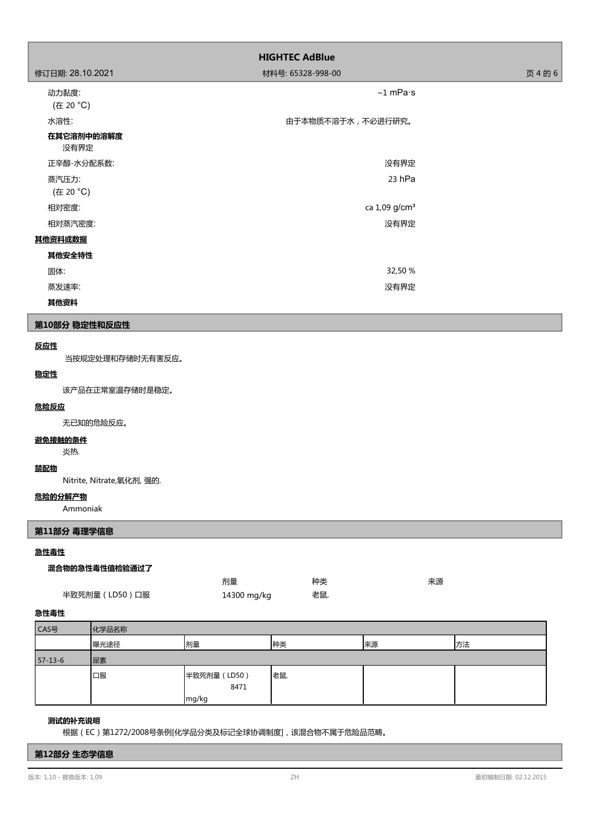|                    | <b>HIGHTEC AdBlue</b>     |         |  |  |
|--------------------|---------------------------|---------|--|--|
| 修订日期: 28.10.2021   | 材料号: 65328-998-00         | 页 4 的 6 |  |  |
| 动力黏度:<br>(在 20 °C) | $~1$ mPa $\cdot$ s        |         |  |  |
| 水溶性:               | 由于本物质不溶于水,不必进行研究。         |         |  |  |
| 在其它溶剂中的溶解度<br>没有界定 |                           |         |  |  |
| 正辛醇-水分配系数:         | 没有界定                      |         |  |  |
| 蒸汽压力:<br>(在 20 °C) | 23 hPa                    |         |  |  |
| 相对密度:              | ca 1,09 g/cm <sup>3</sup> |         |  |  |
| 相对蒸汽密度:            | 没有界定                      |         |  |  |
| 其他资料或数据            |                           |         |  |  |
| 其他安全特性             |                           |         |  |  |
| 固体:                | 32,50 %                   |         |  |  |
| 蒸发速率:              | 没有界定                      |         |  |  |
| 其他资料               |                           |         |  |  |

# **第10部分 稳定性和反应性**

# **反应性**

当按规定处理和存储时无有害反应。

## **稳定性**

该产品在正常室温存储时是稳定。

#### **危险反应**

无已知的危险反应。

# **避免接触的条件**

炎热.

# **禁配物**

Nitrite, Nitrate,氧化剂, 强的.

# **危险的分解产物**

Ammoniak

# **第11部分 毒理学信息**

# **急性毒性**

## **混合物的急性毒性值检验通过了**

|                | 剂量          | 种类  | 来源 |
|----------------|-------------|-----|----|
| 半致死剂量 (LD50)口服 | 14300 mg/kg | 老鼠. |    |

# **急性毒性**

| CAS号          | 化学品名称 |                      |    |    |    |
|---------------|-------|----------------------|----|----|----|
|               | 曝光途径  | 剂量                   | 种类 | 来源 | 方法 |
| $57 - 13 - 6$ | 尿素    |                      |    |    |    |
|               | 口服    | 半致死剂量 (LD50)<br>8471 | 老鼠 |    |    |
|               |       | mg/kg                |    |    |    |

# **测试的补充说明**

根据(EC)第1272/2008号条例[化学品分类及标记全球协调制度],该混合物不属于危险品范畴。

## **第12部分 生态学信息**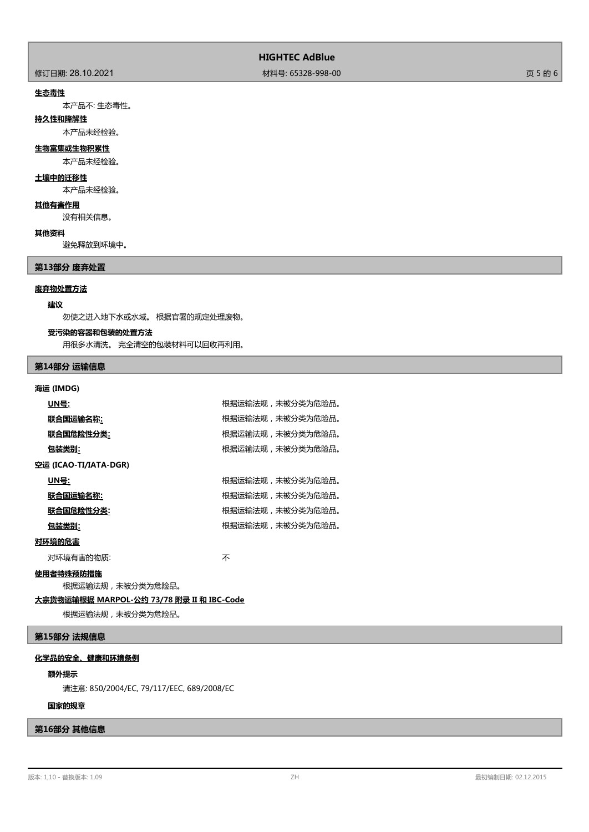修订日期: 28.10.2021 材料号: 65328-998-00 页 5 的 6

#### **生态毒性**

本产品不: 生态毒性。

#### **持久性和降解性**

本产品未经检验。

#### **生物富集或生物积累性**

本产品未经检验。

### **土壤中的迁移性**

本产品未经检验。

# **其他有害作用**

没有相关信息。

### **其他资料**

避免释放到环境中。

**第13部分 废弃处置**

#### **废弃物处置方法**

#### **建议**

勿使之进入地下水或水域。 根据官署的规定处理废物。

#### **受污染的容器和包装的处置方法**

用很多水清洗。 完全清空的包装材料可以回收再利用。

# **第14部分 运输信息**

## **海运 (IMDG)**

| UN号:                  | 根据运输法规,未被分类为危险品。 |
|-----------------------|------------------|
| 联合国运输名称:              | 根据运输法规,未被分类为危险品。 |
| 联合国危险性分类:             | 根据运输法规,未被分类为危险品。 |
| 包装类别:                 | 根据运输法规,未被分类为危险品。 |
| 空运 (ICAO-TI/IATA-DGR) |                  |
| UN号:                  | 根据运输法规,未被分类为危险品。 |
| 联合国运输名称:              | 根据运输法规,未被分类为危险品。 |
| 联合国危险性分类:             | 根据运输法规,未被分类为危险品。 |
| 包装类别:                 | 根据运输法规,未被分类为危险品。 |
| 对环境的危害                |                  |

对环境有害的物质: オオン インタン あいしゃ 不

# **使用者特殊预防措施**

根据运输法规,未被分类为危险品。

#### **大宗货物运输根据 MARPOL-公约 73/78 附录 II 和 IBC-Code**

根据运输法规,未被分类为危险品。

# **第15部分 法规信息**

# **化学品的安全、健康和环境条例**

#### **额外提示**

请注意: 850/2004/EC, 79/117/EEC, 689/2008/EC

# **国家的规章**

# **第16部分 其他信息**